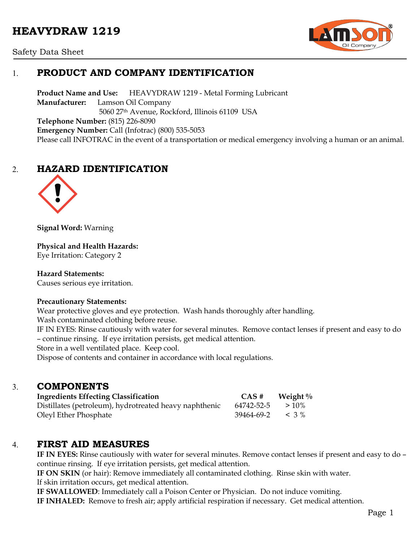# **HEAVYDRAW 1219**



Safety Data Sheet

# 1. **PRODUCT AND COMPANY IDENTIFICATION**

**Product Name and Use:** HEAVYDRAW 1219 - Metal Forming Lubricant **Manufacturer:** Lamson Oil Company 5060 27th Avenue, Rockford, Illinois 61109 USA **Telephone Number:** (815) 226-8090 **Emergency Number:** Call (Infotrac) (800) 535-5053 Please call INFOTRAC in the event of a transportation or medical emergency involving a human or an animal.

# 2. **HAZARD IDENTIFICATION**



**Signal Word:** Warning

**Physical and Health Hazards:** Eye Irritation: Category 2

**Hazard Statements:**  Causes serious eye irritation.

### **Precautionary Statements:**

Wear protective gloves and eye protection. Wash hands thoroughly after handling.

Wash contaminated clothing before reuse.

IF IN EYES: Rinse cautiously with water for several minutes. Remove contact lenses if present and easy to do – continue rinsing. If eye irritation persists, get medical attention.

Store in a well ventilated place. Keep cool.

Dispose of contents and container in accordance with local regulations.

### 3. **COMPONENTS**

| <b>Ingredients Effecting Classification</b>            | CAS#                      | Weight $\%$ |
|--------------------------------------------------------|---------------------------|-------------|
| Distillates (petroleum), hydrotreated heavy naphthenic | 64742-52-5                | $>10\%$     |
| Oleyl Ether Phosphate                                  | $39464 - 69 - 2 \leq 3\%$ |             |

### 4. **FIRST AID MEASURES**

**IF IN EYES:** Rinse cautiously with water for several minutes. Remove contact lenses if present and easy to do – continue rinsing. If eye irritation persists, get medical attention.

**IF ON SKIN** (or hair): Remove immediately all contaminated clothing. Rinse skin with water. If skin irritation occurs, get medical attention.

**IF SWALLOWED**: Immediately call a Poison Center or Physician. Do not induce vomiting.

**IF INHALED:** Remove to fresh air; apply artificial respiration if necessary. Get medical attention.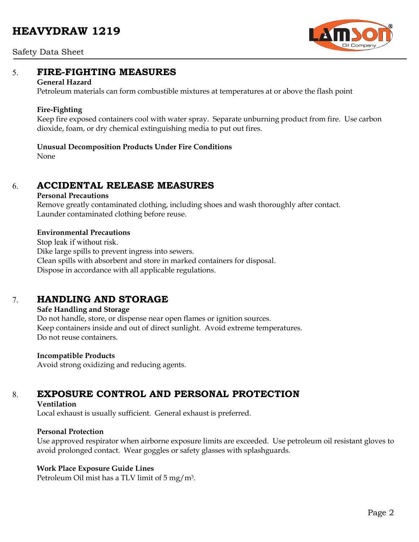# **HEAVYDRAW 1219**



#### Safety Data Sheet

### 5. **FIRE-FIGHTING MEASURES**

#### **General Hazard**

Petroleum materials can form combustible mixtures at temperatures at or above the flash point

#### **Fire-Fighting**

Keep fire exposed containers cool with water spray. Separate unburning product from fire. Use carbon dioxide, foam, or dry chemical extinguishing media to put out fires.

#### **Unusual Decomposition Products Under Fire Conditions**

None

### 6. **ACCIDENTAL RELEASE MEASURES**

#### **Personal Precautions**

Remove greatly contaminated clothing, including shoes and wash thoroughly after contact. Launder contaminated clothing before reuse.

#### **Environmental Precautions**

Stop leak if without risk. Dike large spills to prevent ingress into sewers. Clean spills with absorbent and store in marked containers for disposal. Dispose in accordance with all applicable regulations.

### 7. **HANDLING AND STORAGE**

#### **Safe Handling and Storage**

Do not handle, store, or dispense near open flames or ignition sources. Keep containers inside and out of direct sunlight. Avoid extreme temperatures. Do not reuse containers.

#### **Incompatible Products**

Avoid strong oxidizing and reducing agents.

# 8. **EXPOSURE CONTROL AND PERSONAL PROTECTION**

#### **Ventilation**

Local exhaust is usually sufficient. General exhaust is preferred.

#### **Personal Protection**

Use approved respirator when airborne exposure limits are exceeded. Use petroleum oil resistant gloves to avoid prolonged contact. Wear goggles or safety glasses with splashguards.

#### **Work Place Exposure Guide Lines**

Petroleum Oil mist has a TLV limit of 5 mg/m3.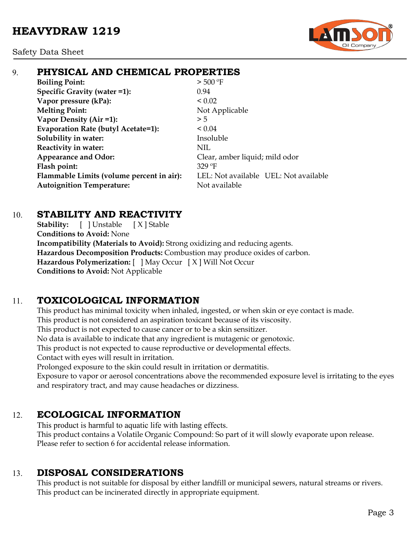

# 9. **PHYSICAL AND CHEMICAL PROPERTIES**

**Boiling Point:**  $> 500 °F$ **Specific Gravity (water =1):** 0.94 **Vapor pressure (kPa):**  $< 0.02$ **Melting Point:** Not Applicable **Vapor Density (Air =1):**  $>5$ **Evaporation Rate (butyl Acetate=1):** < 0.04 **Solubility in water:** Insoluble **Reactivity in water:** NIL **Appearance and Odor:** Clear, amber liquid; mild odor **Flash point:** 329 ºF **Flammable Limits (volume percent in air):** LEL: Not available UEL: Not available **Autoignition Temperature:** Not available

### 10. **STABILITY AND REACTIVITY**

**Stability:** [ ] Unstable [ X ] Stable **Conditions to Avoid:** None **Incompatibility (Materials to Avoid):** Strong oxidizing and reducing agents. **Hazardous Decomposition Products:** Combustion may produce oxides of carbon. **Hazardous Polymerization:** [ ] May Occur [ X ] Will Not Occur **Conditions to Avoid:** Not Applicable

# 11. **TOXICOLOGICAL INFORMATION**

This product has minimal toxicity when inhaled, ingested, or when skin or eye contact is made. This product is not considered an aspiration toxicant because of its viscosity.

This product is not expected to cause cancer or to be a skin sensitizer.

No data is available to indicate that any ingredient is mutagenic or genotoxic.

This product is not expected to cause reproductive or developmental effects.

Contact with eyes will result in irritation.

Prolonged exposure to the skin could result in irritation or dermatitis.

Exposure to vapor or aerosol concentrations above the recommended exposure level is irritating to the eyes and respiratory tract, and may cause headaches or dizziness.

# 12. **ECOLOGICAL INFORMATION**

This product is harmful to aquatic life with lasting effects. This product contains a Volatile Organic Compound: So part of it will slowly evaporate upon release. Please refer to section 6 for accidental release information.

# 13. **DISPOSAL CONSIDERATIONS**

This product is not suitable for disposal by either landfill or municipal sewers, natural streams or rivers. This product can be incinerated directly in appropriate equipment.